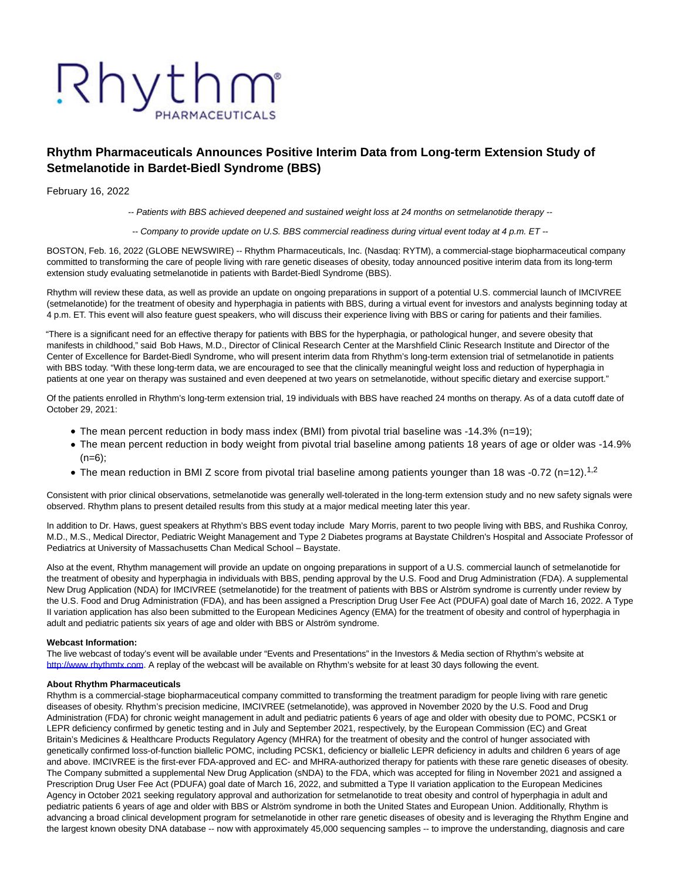# Rhythm PHARMACEUTICALS

# **Rhythm Pharmaceuticals Announces Positive Interim Data from Long-term Extension Study of Setmelanotide in Bardet-Biedl Syndrome (BBS)**

February 16, 2022

-- Patients with BBS achieved deepened and sustained weight loss at 24 months on setmelanotide therapy --

-- Company to provide update on U.S. BBS commercial readiness during virtual event today at 4 p.m. ET --

BOSTON, Feb. 16, 2022 (GLOBE NEWSWIRE) -- Rhythm Pharmaceuticals, Inc. (Nasdaq: RYTM), a commercial-stage biopharmaceutical company committed to transforming the care of people living with rare genetic diseases of obesity, today announced positive interim data from its long-term extension study evaluating setmelanotide in patients with Bardet-Biedl Syndrome (BBS).

Rhythm will review these data, as well as provide an update on ongoing preparations in support of a potential U.S. commercial launch of IMCIVREE (setmelanotide) for the treatment of obesity and hyperphagia in patients with BBS, during a virtual event for investors and analysts beginning today at 4 p.m. ET. This event will also feature guest speakers, who will discuss their experience living with BBS or caring for patients and their families.

"There is a significant need for an effective therapy for patients with BBS for the hyperphagia, or pathological hunger, and severe obesity that manifests in childhood," said Bob Haws, M.D., Director of Clinical Research Center at the Marshfield Clinic Research Institute and Director of the Center of Excellence for Bardet-Biedl Syndrome, who will present interim data from Rhythm's long-term extension trial of setmelanotide in patients with BBS today. "With these long-term data, we are encouraged to see that the clinically meaningful weight loss and reduction of hyperphagia in patients at one year on therapy was sustained and even deepened at two years on setmelanotide, without specific dietary and exercise support."

Of the patients enrolled in Rhythm's long-term extension trial, 19 individuals with BBS have reached 24 months on therapy. As of a data cutoff date of October 29, 2021:

- The mean percent reduction in body mass index (BMI) from pivotal trial baseline was -14.3% (n=19);
- The mean percent reduction in body weight from pivotal trial baseline among patients 18 years of age or older was -14.9%  $(n=6)$ ;
- The mean reduction in BMI Z score from pivotal trial baseline among patients younger than 18 was -0.72 (n=12).<sup>1,2</sup>

Consistent with prior clinical observations, setmelanotide was generally well-tolerated in the long-term extension study and no new safety signals were observed. Rhythm plans to present detailed results from this study at a major medical meeting later this year.

In addition to Dr. Haws, guest speakers at Rhythm's BBS event today include Mary Morris, parent to two people living with BBS, and Rushika Conroy, M.D., M.S., Medical Director, Pediatric Weight Management and Type 2 Diabetes programs at Baystate Children's Hospital and Associate Professor of Pediatrics at University of Massachusetts Chan Medical School – Baystate.

Also at the event, Rhythm management will provide an update on ongoing preparations in support of a U.S. commercial launch of setmelanotide for the treatment of obesity and hyperphagia in individuals with BBS, pending approval by the U.S. Food and Drug Administration (FDA). A supplemental New Drug Application (NDA) for IMCIVREE (setmelanotide) for the treatment of patients with BBS or Alström syndrome is currently under review by the U.S. Food and Drug Administration (FDA), and has been assigned a Prescription Drug User Fee Act (PDUFA) goal date of March 16, 2022. A Type II variation application has also been submitted to the European Medicines Agency (EMA) for the treatment of obesity and control of hyperphagia in adult and pediatric patients six years of age and older with BBS or Alström syndrome.

#### **Webcast Information:**

The live webcast of today's event will be available under "Events and Presentations" in the Investors & Media section of Rhythm's website at [http://www.rhythmtx.com.](https://www.globenewswire.com/Tracker?data=N1QImrv1Q4uWhStfpv061DFMgkP4RZNBN25JfC27ojL57BX4on7ac_elZ-I2saOW0U_EVQoUBMPvv-FtLYJ4eF2OsMqK3IB4Xa_QhmFKT88=) A replay of the webcast will be available on Rhythm's website for at least 30 days following the event.

### **About Rhythm Pharmaceuticals**

Rhythm is a commercial-stage biopharmaceutical company committed to transforming the treatment paradigm for people living with rare genetic diseases of obesity. Rhythm's precision medicine, IMCIVREE (setmelanotide), was approved in November 2020 by the U.S. Food and Drug Administration (FDA) for chronic weight management in adult and pediatric patients 6 years of age and older with obesity due to POMC, PCSK1 or LEPR deficiency confirmed by genetic testing and in July and September 2021, respectively, by the European Commission (EC) and Great Britain's Medicines & Healthcare Products Regulatory Agency (MHRA) for the treatment of obesity and the control of hunger associated with genetically confirmed loss-of-function biallelic POMC, including PCSK1, deficiency or biallelic LEPR deficiency in adults and children 6 years of age and above. IMCIVREE is the first-ever FDA-approved and EC- and MHRA-authorized therapy for patients with these rare genetic diseases of obesity. The Company submitted a supplemental New Drug Application (sNDA) to the FDA, which was accepted for filing in November 2021 and assigned a Prescription Drug User Fee Act (PDUFA) goal date of March 16, 2022, and submitted a Type II variation application to the European Medicines Agency in October 2021 seeking regulatory approval and authorization for setmelanotide to treat obesity and control of hyperphagia in adult and pediatric patients 6 years of age and older with BBS or Alström syndrome in both the United States and European Union. Additionally, Rhythm is advancing a broad clinical development program for setmelanotide in other rare genetic diseases of obesity and is leveraging the Rhythm Engine and the largest known obesity DNA database -- now with approximately 45,000 sequencing samples -- to improve the understanding, diagnosis and care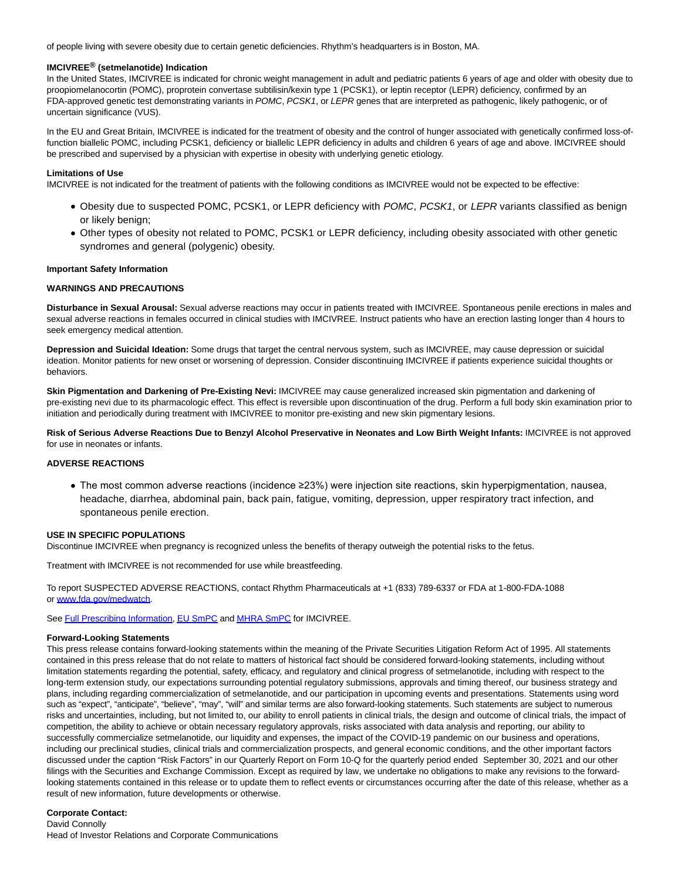of people living with severe obesity due to certain genetic deficiencies. Rhythm's headquarters is in Boston, MA.

# **IMCIVREE® (setmelanotide) Indication**

In the United States, IMCIVREE is indicated for chronic weight management in adult and pediatric patients 6 years of age and older with obesity due to proopiomelanocortin (POMC), proprotein convertase subtilisin/kexin type 1 (PCSK1), or leptin receptor (LEPR) deficiency, confirmed by an FDA-approved genetic test demonstrating variants in POMC, PCSK1, or LEPR genes that are interpreted as pathogenic, likely pathogenic, or of uncertain significance (VUS).

In the EU and Great Britain, IMCIVREE is indicated for the treatment of obesity and the control of hunger associated with genetically confirmed loss-offunction biallelic POMC, including PCSK1, deficiency or biallelic LEPR deficiency in adults and children 6 years of age and above. IMCIVREE should be prescribed and supervised by a physician with expertise in obesity with underlying genetic etiology.

#### **Limitations of Use**

IMCIVREE is not indicated for the treatment of patients with the following conditions as IMCIVREE would not be expected to be effective:

- Obesity due to suspected POMC, PCSK1, or LEPR deficiency with POMC, PCSK1, or LEPR variants classified as benign or likely benign;
- Other types of obesity not related to POMC, PCSK1 or LEPR deficiency, including obesity associated with other genetic syndromes and general (polygenic) obesity.

#### **Important Safety Information**

#### **WARNINGS AND PRECAUTIONS**

**Disturbance in Sexual Arousal:** Sexual adverse reactions may occur in patients treated with IMCIVREE. Spontaneous penile erections in males and sexual adverse reactions in females occurred in clinical studies with IMCIVREE. Instruct patients who have an erection lasting longer than 4 hours to seek emergency medical attention.

**Depression and Suicidal Ideation:** Some drugs that target the central nervous system, such as IMCIVREE, may cause depression or suicidal ideation. Monitor patients for new onset or worsening of depression. Consider discontinuing IMCIVREE if patients experience suicidal thoughts or behaviors.

**Skin Pigmentation and Darkening of Pre-Existing Nevi:** IMCIVREE may cause generalized increased skin pigmentation and darkening of pre-existing nevi due to its pharmacologic effect. This effect is reversible upon discontinuation of the drug. Perform a full body skin examination prior to initiation and periodically during treatment with IMCIVREE to monitor pre-existing and new skin pigmentary lesions.

**Risk of Serious Adverse Reactions Due to Benzyl Alcohol Preservative in Neonates and Low Birth Weight Infants:** IMCIVREE is not approved for use in neonates or infants.

#### **ADVERSE REACTIONS**

The most common adverse reactions (incidence ≥23%) were injection site reactions, skin hyperpigmentation, nausea, headache, diarrhea, abdominal pain, back pain, fatigue, vomiting, depression, upper respiratory tract infection, and spontaneous penile erection.

#### **USE IN SPECIFIC POPULATIONS**

Discontinue IMCIVREE when pregnancy is recognized unless the benefits of therapy outweigh the potential risks to the fetus.

Treatment with IMCIVREE is not recommended for use while breastfeeding.

To report SUSPECTED ADVERSE REACTIONS, contact Rhythm Pharmaceuticals at +1 (833) 789-6337 or FDA at 1-800-FDA-1088 o[r www.fda.gov/medwatch.](https://www.globenewswire.com/Tracker?data=CgfvF45NP9zfHsZBhINSUpbtcxXTXUeUklKLqa8dI-qe_tfxn-zhK7kBGmbe_CCDAPx_Igk9r6uWQaBYkYzyvVdTTFwm7JXwAtgK-hJ2EY80buZ5yJn2RtAwQMdDorWr-4KiI62J9fjt8DfGJD3GvVbfbHbvqCRoijuMHTYAaZQyfrSQjNKyEO5DbwQ_xGno)

Se[e Full Prescribing Information,](https://www.globenewswire.com/Tracker?data=Z2l8lsfzmPwqDVtG8fb86YMyOBDHaeoq_lqU2Grd7Ms0Av-6N9nBsLOZueKbj3m4IR97u7PCyPflO9cArKdTw1fOFvjVEArRCJJhp9_JzqGBM2GwCB1GCd602e8rEAHc0Qp8Lf5oE_apazxMAjvrwA==) [EU SmPC a](https://www.globenewswire.com/Tracker?data=7SdNwiYjfOah8bH_OiBvsx2hnLxvC5EcczBdvDDtTlITOwyakJj4eIWTjS9XexqEV8Ihui_N_SeHyjaFkDyiKUJQbwXlVY2Mp8L3czhYG72C-176A0PbZnQMZ-KG8EsWfknYkKCw6OP2-OXMLV2bmBqxBhKFLyDZhVNiMYlDs68-FqRGr1mOe3W-0ijDRmt4)n[d MHRA SmPC f](https://www.globenewswire.com/Tracker?data=etrbM_B92NmalpRzrypbVkrFif4EWA_eDWvOFRQOwSnnGI_KnZpdhsHxuoVMmQpezo_pwmIqYXqtRefFlssK4A==)or IMCIVREE.

#### **Forward-Looking Statements**

This press release contains forward-looking statements within the meaning of the Private Securities Litigation Reform Act of 1995. All statements contained in this press release that do not relate to matters of historical fact should be considered forward-looking statements, including without limitation statements regarding the potential, safety, efficacy, and regulatory and clinical progress of setmelanotide, including with respect to the long-term extension study, our expectations surrounding potential regulatory submissions, approvals and timing thereof, our business strategy and plans, including regarding commercialization of setmelanotide, and our participation in upcoming events and presentations. Statements using word such as "expect", "anticipate", "believe", "may", "will" and similar terms are also forward-looking statements. Such statements are subject to numerous risks and uncertainties, including, but not limited to, our ability to enroll patients in clinical trials, the design and outcome of clinical trials, the impact of competition, the ability to achieve or obtain necessary regulatory approvals, risks associated with data analysis and reporting, our ability to successfully commercialize setmelanotide, our liquidity and expenses, the impact of the COVID-19 pandemic on our business and operations, including our preclinical studies, clinical trials and commercialization prospects, and general economic conditions, and the other important factors discussed under the caption "Risk Factors" in our Quarterly Report on Form 10-Q for the quarterly period ended September 30, 2021 and our other filings with the Securities and Exchange Commission. Except as required by law, we undertake no obligations to make any revisions to the forwardlooking statements contained in this release or to update them to reflect events or circumstances occurring after the date of this release, whether as a result of new information, future developments or otherwise.

# **Corporate Contact:**

David Connolly Head of Investor Relations and Corporate Communications